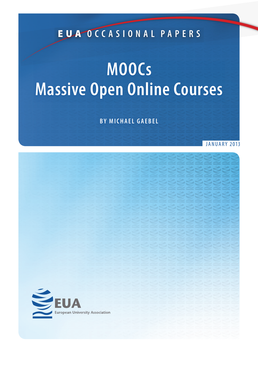EUA **O C C A S I O N A L P A P ERS**

# **MOOCs Massive Open Online Courses**

**BY MICHAEL GAEBEL**

**JANUARY 2013** 

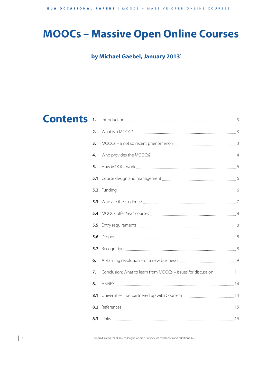## **MOOCs – Massive Open Online Courses**

### **by Michael Gaebel, January 20131**

## **Contents**

| 1.  |                                                                  |  |
|-----|------------------------------------------------------------------|--|
| 2.  |                                                                  |  |
| 3.  |                                                                  |  |
| 4.  |                                                                  |  |
| 5.  |                                                                  |  |
|     |                                                                  |  |
|     |                                                                  |  |
|     |                                                                  |  |
|     |                                                                  |  |
|     |                                                                  |  |
|     |                                                                  |  |
| 5.7 |                                                                  |  |
| 6.  |                                                                  |  |
| 7.  | Conclusion: What to learn from MOOCs - issues for discussion  11 |  |
| 8.  |                                                                  |  |
| 8.1 |                                                                  |  |
| 8.2 |                                                                  |  |
|     |                                                                  |  |

–––––––––––––––––––––––––––––––––––––––––––––––––––––––––––––––––––––––––––––––––––––––––––––––––––––––––––––––––––––––––––––––––––––––––––––––––––––––––––––––––––––––––––––––––––––––––––––––––––––––––––––––––––– <sup>1</sup> I would like to thank my colleague Andrée Sursock for comments and additions. MG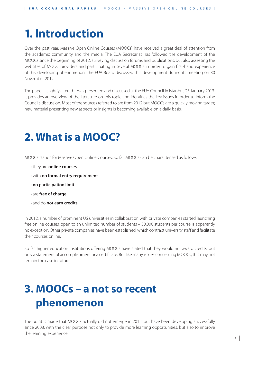## **1. Introduction**

Over the past year, Massive Open Online Courses (MOOCs) have received a great deal of attention from the academic community and the media. The EUA Secretariat has followed the development of the MOOCs since the beginning of 2012, surveying discussion forums and publications, but also assessing the websites of MOOC providers and participating in several MOOCs in order to gain first-hand experience of this developing phenomenon. The EUA Board discussed this development during its meeting on 30 November 2012.

The paper – slightly altered – was presented and discussed at the EUA Council in Istanbul, 25 January 2013. It provides an overview of the literature on this topic and identifies the key issues in order to inform the Council's discussion. Most of the sources referred to are from 2012 but MOOCs are a quickly moving target; new material presenting new aspects or insights is becoming available on a daily basis.

## **2. What is a MOOC?**

MOOCs stands for Massive Open Online Courses. So far, MOOCs can be characterised as follows:

- $\cdot$  they are **online courses**
- $\cdot$  with no formal entry requirement
- **t** no participation limit
- $\cdot$  are **free of charge**
- $\cdot$  and do **not earn credits.**

In 2012, a number of prominent US universities in collaboration with private companies started launching free online courses, open to an unlimited number of students – 50,000 students per course is apparently no exception. Other private companies have been established, which contract university staff and facilitate their courses online.

So far, higher education institutions offering MOOCs have stated that they would not award credits, but only a statement of accomplishment or a certificate. But like many issues concerning MOOCs, this may not remain the case in future.

## **3. MOOCs – a not so recent phenomenon**

The point is made that MOOCs actually did not emerge in 2012, but have been developing successfully since 2008, with the clear purpose not only to provide more learning opportunities, but also to improve the learning experience.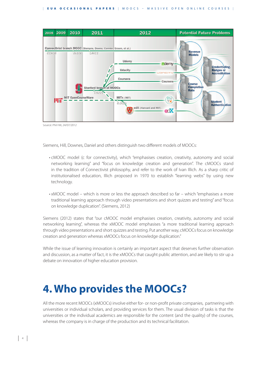

Source: Phil Hill, 24/07/2012

Siemens, Hill, Downes, Daniel and others distinguish two different models of MOOCs:

- cMOOC model (c for connectivity), which "emphasises creation, creativity, autonomy and social networking learning" and "focus on knowledge creation and generation". The cMOOCs stand in the tradition of Connectivist philosophy, and refer to the work of Ivan Illich. As a sharp critic of institutionalised education, Illich proposed in 1970 to establish "learning webs" by using new technology.
	- $\cdot$  xMOOC model which is more or less the approach described so far which "emphasises a more traditional learning approach through video presentations and short quizzes and testing" and "focus on knowledge duplication". (Siemens, 2012)

Siemens (2012) states that "our cMOOC model emphasises creation, creativity, autonomy and social networking learning", whereas the xMOOC model emphasises "a more traditional learning approach through video presentations and short quizzes and testing. Put another way, cMOOCs focus on knowledge creation and generation whereas xMOOCs focus on knowledge duplication."

While the issue of learning innovation is certainly an important aspect that deserves further observation and discussion, as a matter of fact, it is the xMOOCs that caught public attention, and are likely to stir up a debate on innovation of higher education provision.

## **4. Who provides the MOOCs?**

All the more recent MOOCs (xMOOCs) involve either for- or non-profit private companies, partnering with universities or individual scholars, and providing services for them. The usual division of tasks is that the universities or the individual academics are responsible for the content (and the quality) of the courses, whereas the company is in charge of the production and its technical facilitation.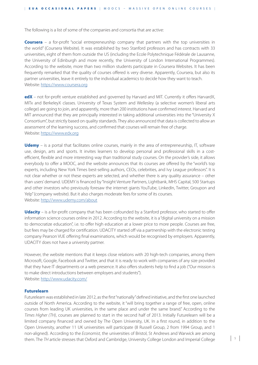The following is a list of some of the companies and consortia that are active:

**Coursera** – a for-profit "social entrepreneurship company that partners with the top universities in the world" (Coursera Website). It was established by two Stanford professors and has contracts with 33 universities, eight of them from outside the US (including the Ecole Polytechnique Fédérale de Lausanne, the University of Edinburgh and more recently, the University of London International Programmes). According to the website, more than two million students participate in Coursera Websites. It has been frequently remarked that the quality of courses offered is very diverse. Apparently, Coursera, but also its partner universities, leave it entirely to the individual academics to decide how they want to teach. Website: https://www.coursera.org

**edX** – not for-profit venture established and governed by Harvard and MIT. Currently it offers HarvardX, MITx and BerkeleyX classes. University of Texas System and Wellesley (a selective women's liberal arts college) are going to join, and apparently, more than 200 institutions have confirmed interest. Harvard and MIT announced that they are principally interested in taking additional universities into the "University X Consortium", but strictly based on quality standards. They also announced that data is collected to allow an assessment of the learning success, and confirmed that courses will remain free of charge. Website: https://www.edx.org

**Udemy** – is a portal that facilitates online courses, mainly in the area of entrepreneurship, IT, software use, design, arts and sports. It invites learners to develop personal and professional skills in a costefficient, flexible and more interesting way than traditional study courses. On the provider's side, it allows everybody to offer a MOOC, and the website announces that its courses are offered by the "world's top experts, including New York Times best-selling authors, CEOs, celebrities, and Ivy League professors". It is not clear whether or not these experts are selected, and whether there is any quality assurance – other than users' demand. UDEMY is financed by "Insight Venture Partners, Lightbank, MHS Capital, 500 Startups and other investors who previously foresaw the internet giants YouTube, LinkedIn, Twitter, Groupon and Yelp" (company website). But it also charges moderate fees for some of its courses. Website: http://www.udemy.com/about

**Udacity** – is a for-profit company that has been cofounded by a Stanford professor, who started to offer information science courses online in 2012. According to the website, it is a "digital university on a mission to democratize education", i.e. to offer high education at a lower price to more people. Courses are free, but fees may be charged for certification. UDACITY started off via a partnership with the electronic testing company Pearson VUE offering final examinations, which would be recognised by employers. Apparently, UDACITY does not have a university partner.

However, the website mentions that it keeps close relations with 20 high-tech companies, among them Microsoft, Google, Facebook and Twitter, and that it is ready to work with companies of any size provided that they have IT departments or a web presence. It also offers students help to find a job ("Our mission is to make direct introductions between employers and students"). Website: http://www.udacity.com/

#### **Futurelearn**

Futurelearn was established in late 2012, as the first "nationally" defined initiative, and the first one launched outside of North America. According to the website, it "will bring together a range of free, open, online courses from leading UK universities, in the same place and under the same brand." According to the Times Higher (TH), courses are planned to start in the second half of 2013. Initially Futurelearn will be a limited company financed and owned by The Open University, UK. In a first round, in addition to the Open University, another 11 UK universities will participate (8 Russell Group, 2 from 1994 Group, and 1 non-aligned). According to the Economist, the universities of Bristol, St Andrews and Warwick are among them. The TH article stresses that Oxford and Cambridge, University College London and Imperial College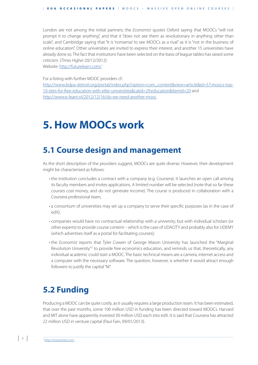London are not among the initial partners; the Economist quotes Oxford saying that MOOCs "will not prompt it to change anything", and that it "does not see them as revolutionary in anything other than scale", and Cambridge saying that "it is 'nonsense' to see MOOCs as a rival" as it is "not in the business of online education". Other universities are invited to express their interest, and another 15 universities have already done so. The fact that institutions have been selected on the basis of league tables has raised some criticism. (Times Higher 20/12/2012)

Website: http://futurelearn.com/

For a listing with further MOOC providers cf.:

http://www.bdpa-detroit.org/portal/index.php?option=com\_content&view=article&id=57:moocs-top-10-sites-for-free-education-with-elite-universities&catid=29:education&Itemid=20 and http://www.e-learn.nl/2012/12/16/do-we-need-another-mooc

## **5. How MOOCs work**

### **5.1 Course design and management**

As the short description of the providers suggest, MOOCs are quite diverse. However, their development might be characterised as follows:

- the institution concludes a contract with a company (e.g. Coursera). It launches an open call among its faculty members and invites applications. A limited number will be selected (note that so far these courses cost money, and do not generate income). The course is produced in collaboration with a Coursera professional team;
	- a consortium of universities may set up a company to serve their specific purposes (as in the case of edX);
	- companies would have no contractual relationship with a university, but with individual scholars (or other experts) to provide course content – which is the case of UDACITY and probably also for UDEMY (which advertises itself as a portal for facilitating courses);
	- the Economist reports that Tyler Cowen of George Mason University has launched the "Marginal Revolution University"<sup>2</sup> to provide free economics education, and reminds us that, theoretically, any individual academic could start a MOOC. The basic technical means are a camera, internet access and a computer with the necessary software. The question, however, is whether it would attract enough followers to justify the capital "M".

### **5.2 Funding**

Producing a MOOC can be quite costly, as it usually requires a large production team. It has been estimated, that over the past months, some 100 million USD in funding has been directed toward MOOCs. Harvard and MIT alone have apparently invested 30 million USD each into edX. It is said that Coursera has attracted 22 million USD in venture capital (Paul Fain, 09/01/2013).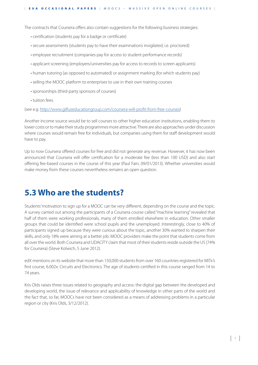The contracts that Coursera offers also contain suggestions for the following business strategies:

- certification (students pay for a badge or certificate)
- secure assessments (students pay to have their examinations invigilated, i.e. proctored)
- employee recruitment (companies pay for access to student performance records)
- applicant screening (employers/universities pay for access to records to screen applicants)
- human tutoring (as opposed to automated) or assignment marking (for which students pay)
	- selling the MOOC platform to enterprises to use in their own training courses
- sponsorships (third-party sponsors of courses)
	- tuition fees.

(see e.g. http://www.gilfuseducationgroup.com/coursera-will-profit-from-free-courses)

Another income source would be to sell courses to other higher education institutions, enabling them to lower costs or to make their study programmes more attractive. There are also approaches under discussion where courses would remain free for individuals, but companies using them for staff development would have to pay.

Up to now Coursera offered courses for free and did not generate any revenue. However, it has now been announced that Coursera will offer certification for a moderate fee (less than 100 USD) and also start offering fee-based courses in the course of this year (Paul Fain, 09/01/2013). Whether universities would make money from these courses nevertheless remains an open question.

### **5.3 Who are the students?**

Students' motivation to sign up for a MOOC can be very different, depending on the course and the topic. A survey carried out among the participants of a Coursera course called "machine learning" revealed that half of them were working professionals, many of them enrolled elsewhere in education. Other smaller groups that could be identified were school pupils and the unemployed. Interestingly, close to 40% of participants signed up because they were curious about the topic, another 30% wanted to sharpen their skills, and only 18% were aiming at a better job. MOOC providers make the point that students come from all over the world. Both Coursera and UDACITY claim that most of their students reside outside the US (74% for Coursera) (Steve Kolwich, 5 June 2012).

edX mentions on its website that more than 150,000 students from over 160 countries registered for MITx's first course, 6.002x: Circuits and Electronics. The age of students certified in this course ranged from 14 to 74 years.

Kris Olds raises three issues related to geography and access: the digital gap between the developed and developing world, the issue of relevance and applicability of knowledge in other parts of the world and the fact that, so far, MOOCs have not been considered as a means of addressing problems in a particular region or city (Kris Olds, 3/12/2012).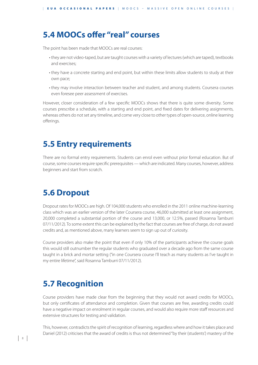### **5.4 MOOCs offer "real" courses**

The point has been made that MOOCs are real courses:

- they are not video-taped, but are taught courses with a variety of lectures (which are taped), textbooks and exercises;
	- they have a concrete starting and end point, but within these limits allow students to study at their own pace;
	- they may involve interaction between teacher and student, and among students. Coursera courses even foresee peer assessment of exercises.

However, closer consideration of a few specific MOOCs shows that there is quite some diversity. Some courses prescribe a schedule, with a starting and end point, and fixed dates for delivering assignments, whereas others do not set any timeline, and come very close to other types of open-source, online learning offerings.

### **5.5 Entry requirements**

There are no formal entry requirements. Students can enrol even without prior formal education. But of course, some courses require specific prerequisites — which are indicated. Many courses, however, address beginners and start from scratch.

### **5.6 Dropout**

Dropout rates for MOOCs are high. Of 104,000 students who enrolled in the 2011 online machine-learning class which was an earlier version of the later Coursera course, 46,000 submitted at least one assignment, 20,000 completed a substantial portion of the course and 13,000, or 12.5%, passed (Rosanna Tamburri 07/11/2012). To some extent this can be explained by the fact that courses are free of charge, do not award credits and, as mentioned above, many learners seem to sign up out of curiosity.

Course providers also make the point that even if only 10% of the participants achieve the course goals this would still outnumber the regular students who graduated over a decade ago from the same course taught in a brick and mortar setting ("in one Coursera course I'll teach as many students as I've taught in my entire lifetime", said Rosanna Tamburri 07/11/2012).

### **5.7 Recognition**

Course providers have made clear from the beginning that they would not award credits for MOOCs, but only certificates of attendance and completion. Given that courses are free, awarding credits could have a negative impact on enrolment in regular courses, and would also require more staff resources and extensive structures for testing and validation.

This, however, contradicts the spirit of recognition of learning, regardless where and how it takes place and Daniel (2012) criticises that the award of credits is thus not determined "by their (students') mastery of the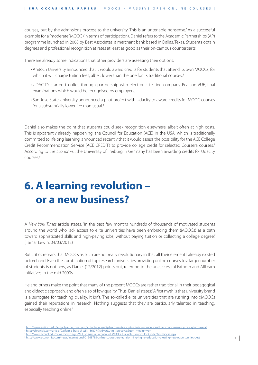courses, but by the admissions process to the university. This is an untenable nonsense." As a successful example for a "moderate" MOOC (in terms of participation), Daniel refers to the Academic Partnerships (AP) programme launched in 2008 by Best Associates, a merchant bank based in Dallas, Texas. Students obtain degrees and professional recognition at rates at least as good as their on-campus counterparts.

There are already some indications that other providers are assessing their options:

- Anitoch University announced that it would award credits for students that attend its own MOOCs, for which it will charge tuition fees, albeit lower than the one for its traditional courses.<sup>3</sup>
- UDACITY started to offer, through partnership with electronic testing company Pearson VUE, final examinations which would be recognised by employers.
- San Jose State University announced a pilot project with Udacity to award credits for MOOC courses for a substantially lower fee than usual.<sup>4</sup>

Daniel also makes the point that students could seek recognition elsewhere, albeit often at high costs. This is apparently already happening: the Council for Education (ACE) in the USA, which is traditionally committed to lifelong learning, announced recently that it would assess the possibility for the ACE College Credit Recommendation Service (ACE CREDIT) to provide college credit for selected Coursera courses.5 According to the Economist, the University of Freiburg in Germany has been awarding credits for Udacity  $6$ courses<sup>6</sup>

## **6. A learning revolution – or a new business?**

A New York Times article states, "in the past few months hundreds of thousands of motivated students around the world who lack access to elite universities have been embracing them (MOOCs) as a path toward sophisticated skills and high-paying jobs, without paying tuition or collecting a college degree." (Tamar Lewin, 04/03/2012)

But critics remark that MOOCs as such are not really revolutionary in that all their elements already existed beforehand. Even the combination of top research universities providing online courses to a larger number of students is not new, as Daniel (12/2012) points out, referring to the unsuccessful Fathom and AllLearn initiatives in the mid 2000s.

He and others make the point that many of the present MOOCs are rather traditional in their pedagogical and didactic approach, and often also of low quality. Thus, Daniel states: "A first myth is that university brand is a surrogate for teaching quality. It isn't. The so-called elite universities that are rushing into xMOOCs gained their reputations in research. Nothing suggests that they are particularly talented in teaching, especially teaching online."

<sup>,</sup>一个人的人都是一个人的人,但是我们的人,我们也不会不会不会。""我们的人,我们也不会不会不会。""我们的人,我们也不会不会不会。""我们的人,我们的人,我们也 <sup>3</sup> http://www.antioch.edu/antioch-announcement/antioch-university-becomes-first-us-institution-to-offer-credit-for-mooc-learning-through-coursera/

http://chronicle.com/article/California-State-U-Will/136677/?cid=at&utm\_source=at&utm\_medium=en <sup>5</sup> http://www.acenet.edu/news-room/Pages/ACE-to-Assess-Potential-of-MOOCs,-Evaluate-Courses-for-Credit-Worthiness.aspx

<sup>6</sup> http://www.economist.com/news/international/21568738-online-courses-are-transforming-higher-education-creating-new-opportunities-best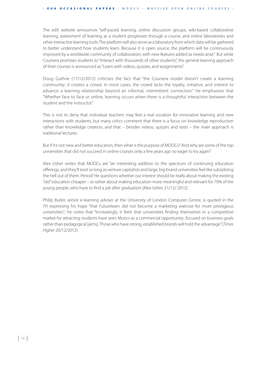The edX website announces "self-paced learning, online discussion groups, wiki-based collaborative learning, assessment of learning as a student progresses through a course, and online laboratories and other interactive learning tools. The platform will also serve as a laboratory from which data will be gathered to better understand how students learn. Because it is open source, the platform will be continuously improved by a worldwide community of collaborators, with new features added as needs arise." But while Coursera promises students to "Interact with thousands of other students", the general learning approach of their courses is announced as "Learn with videos, quizzes, and assignments".

Doug Guthrie (17/12/2012) criticises the fact that "the Coursera model doesn't create a learning community; it creates a crowd. In most cases, the crowd lacks the loyalty, initiative, and interest to advance a learning relationship beyond an informal, intermittent connection." He emphasises that "Whether face to face or online, learning occurs when there is a thoughtful interaction between the student and the instructor."

This is not to deny that individual teachers may feel a real vocation for innovative learning and new interactions with students, but many critics comment that there is a focus on knowledge reproduction rather than knowledge creation, and that – besides videos, quizzes and tests – the main approach is traditional lectures.

But if it's not new and better education, then what is the purpose of MOOCs? And why are some of the top universities that did not succeed in online courses only a few years ago so eager to try again?

Alex Usher writes that MOOCs are "an interesting addition to the spectrum of continuing education offerings, and they'll exist so long as venture capitalists and large, big-brand universities feel like subsidizing the hell out of them. Period." He questions whether our interest should be really about making the existing "old" education cheaper – or rather about making education more meaningful and relevant for 70% of the young people, who have to find a job after graduation (Alex Usher, 21/12/ 2012).

Philip Butler, senior e-learning adviser at the University of London Computer Centre, is quoted in the TH expressing his hope "that Futurelearn did not become a marketing exercise for more prestigious universities"; he notes that "Increasingly, it feels that universities finding themselves in a competitive market for attracting students have seen Moocs as a commercial opportunity...focused on business goals rather than pedagogical [aims]. Those who have strong, established brands will hold the advantage." (Times Higher 20/12/2012)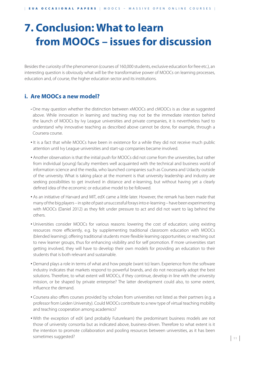## **7. Conclusion: What to learn from MOOCs – issues for discussion**

Besides the curiosity of the phenomenon (courses of 160,000 students, exclusive education for free etc.), an interesting question is obviously what will be the transformative power of MOOCs on learning processes, education and, of course, the higher education sector and its institutions.

### **i. Are MOOCs a new model?**

- One may question whether the distinction between xMOOCs and cMOOCs is as clear as suggested above. While innovation in learning and teaching may not be the immediate intention behind the launch of MOOCs by Ivy League universities and private companies, it is nevertheless hard to understand why innovative teaching as described above cannot be done, for example, through a Coursera course.
- It is a fact that while MOOCs have been in existence for a while they did not receive much public attention until Ivy League universities and start-up companies became involved.
- Another observation is that the initial push for MOOCs did not come from the universities, but rather from individual (young) faculty members well acquainted with the technical and business world of information science and the media, who launched companies such as Coursera and Udacity outside of the university. What is taking place at the moment is that university leadership and industry are seeking possibilities to get involved in distance and e-learning, but without having yet a clearly defined idea of the economic or educative model to be followed.
- As an initiative of Harvard and MIT, edX came a little later. However, the remark has been made that many of the big players – in spite of past unsuccessful forays into e-learning – have been experimenting with MOOCs (Daniel 2012) as they felt under pressure to act and did not want to lag behind the others.
- Universities consider MOOCs for various reasons: lowering the cost of education; using existing resources more efficiently, e.g. by supplementing traditional classroom education with MOOCs (blended learning); offering traditional students more flexible learning opportunities; or reaching out to new learner groups, thus for enhancing visibility and for self promotion. If more universities start getting involved, they will have to develop their own models for providing an education to their students that is both relevant and sustainable.
- Demand plays a role in terms of what and how people (want to) learn. Experience from the software industry indicates that markets respond to powerful brands, and do not necessarily adopt the best solutions. Therefore, to what extent will MOOCs, if they continue, develop in line with the university mission, or be shaped by private enterprise? The latter development could also, to some extent, influence the demand.
- Coursera also offers courses provided by scholars from universities not listed as their partners (e.g. a professor from Leiden University). Could MOOCs contribute to a new type of virtual teaching mobility and teaching cooperation among academics?
- . With the exception of edX (and probably Futurelearn) the predominant business models are not those of university consortia but as indicated above, business-driven. Therefore to what extent is it the intention to promote collaboration and pooling resources between universities, as it has been sometimes suggested?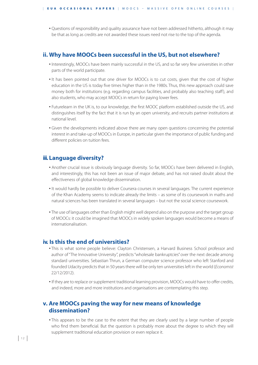• Questions of responsibility and quality assurance have not been addressed hitherto, although it may be that as long as credits are not awarded these issues need not rise to the top of the agenda.

#### **ii. Why have MOOCs been successful in the US, but not elsewhere?**

- Interestingly, MOOCs have been mainly successful in the US, and so far very few universities in other parts of the world participate.
- It has been pointed out that one driver for MOOCs is to cut costs, given that the cost of higher education in the US is today five times higher than in the 1980s. Thus, this new approach could save money both for institutions (e.g. regarding campus facilities, and probably also teaching staff), and also students, who may accept MOOCs in return for paying lower fees.
- Futurelearn in the UK is, to our knowledge, the first MOOC platform established outside the US, and distinguishes itself by the fact that it is run by an open university, and recruits partner institutions at national level.
- Given the developments indicated above there are many open questions concerning the potential interest in and take-up of MOOCs in Europe, in particular given the importance of public funding and different policies on tuition fees.

#### **iii. Language diversity?**

- Another crucial issue is obviously language diversity. So far, MOOCs have been delivered in English, and interestingly, this has not been an issue of major debate, and has not raised doubt about the effectiveness of global knowledge dissemination.
- It would hardly be possible to deliver Coursera courses in several languages. The current experience of the Khan Academy seems to indicate already the limits – as some of its coursework in maths and natural sciences has been translated in several languages – but not the social science coursework.
- The use of languages other than English might well depend also on the purpose and the target group of MOOCs: it could be imagined that MOOCs in widely spoken languages would become a means of internationalisation.

#### **iv. Is this the end of universities?**

- This is what some people believe: Clayton Christensen, a Harvard Business School professor and author of "The Innovative University", predicts "wholesale bankruptcies" over the next decade among standard universities. Sebastian Thrun, a German computer science professor who left Stanford and founded Udacity predicts that in 50 years there will be only ten universities left in the world (Economist 22/12/2012).
- If they are to replace or supplement traditional learning provision, MOOCs would have to offer credits, and indeed, more and more institutions and organisations are contemplating this step.

#### **v. Are MOOCs paving the way for new means of knowledge dissemination?**

• This appears to be the case to the extent that they are clearly used by a large number of people who find them beneficial. But the question is probably more about the degree to which they will supplement traditional education provision or even replace it.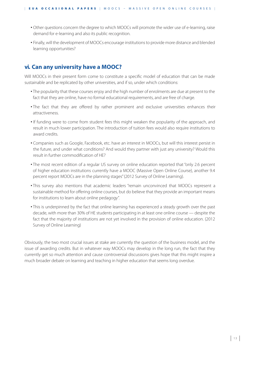- Other questions concern the degree to which MOOCs will promote the wider use of e-learning, raise demand for e-learning and also its public recognition.
- Finally, will the development of MOOCs encourage institutions to provide more distance and blended learning opportunities?

#### **vi. Can any university have a MOOC?**

Will MOOCs in their present form come to constitute a specific model of education that can be made sustainable and be replicated by other universities, and if so, under which conditions:

- The popularity that these courses enjoy and the high number of enrolments are due at present to the fact that they are online, have no formal educational requirements, and are free of charge.
- The fact that they are offered by rather prominent and exclusive universities enhances their attractiveness.
- If funding were to come from student fees this might weaken the popularity of the approach, and result in much lower participation. The introduction of tuition fees would also require institutions to award credits.
- Companies such as Google, Facebook, etc. have an interest in MOOCs, but will this interest persist in the future, and under what conditions? And would they partner with just any university? Would this result in further commodification of HE?
- The most recent edition of a regular US survey on online education reported that "only 2.6 percent of higher education institutions currently have a MOOC (Massive Open Online Course), another 9.4 percent report MOOCs are in the planning stages" (2012 Survey of Online Learning).
- This survey also mentions that academic leaders "remain unconvinced that MOOCs represent a sustainable method for offering online courses, but do believe that they provide an important means for institutions to learn about online pedagogy".
- This is underpinned by the fact that online learning has experienced a steady growth over the past decade, with more than 30% of HE students participating in at least one online course — despite the fact that the majority of institutions are not yet involved in the provision of online education. (2012 Survey of Online Learning)

Obviously, the two most crucial issues at stake are currently the question of the business model, and the issue of awarding credits. But in whatever way MOOCs may develop in the long run, the fact that they currently get so much attention and cause controversial discussions gives hope that this might inspire a much broader debate on learning and teaching in higher education that seems long overdue.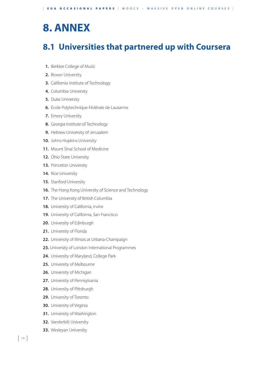## **8. ANNEX**

### **8.1 Universities that partnered up with Coursera**

- **1.** Berklee College of Music
- **2.** Brown University
- **3.** California Institute of Technology
- **4.** Columbia University
- **5.** Duke University
- **6.** École Polytechnique Fédérale de Lausanne
- **7.** Emory University
- **8.** Georgia Institute of Technology
- **9.** Hebrew University of Jerusalem
- **10.** Johns Hopkins University
- **11.** Mount Sinai School of Medicine
- **12.** Ohio State University
- **13.** Princeton University
- **14.** Rice University
- **15.** Stanford University
- **16.** The Hong Kong University of Science and Technology
- **17.** The University of British Columbia
- **18.** University of California, Irvine
- **19.** University of California, San Francisco
- **20.** University of Edinburgh
- **21.** University of Florida
- **22.** University of Illinois at Urbana-Champaign
- **23.** University of London International Programmes
- **24.** University of Maryland, College Park
- **25.** University of Melbourne
- **26.** University of Michigan
- **27.** University of Pennsylvania
- **28.** University of Pittsburgh
- **29.** University of Toronto
- **30.** University of Virginia
- **31.** University of Washington
- **32.** Vanderbilt University
- **33.** Wesleyan University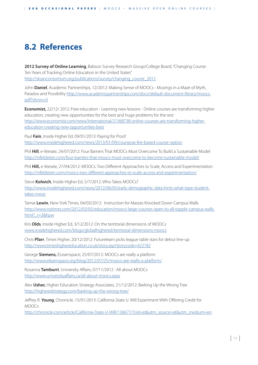## **8.2 References**

2012 Survey of Online Learning, Babson Survey Research Group/College Board, "Changing Course: Ten Years of Tracking Online Education in the United States" http://sloanconsortium.org/publications/survey/changing\_course\_2012

John **Daniel**, Academic Partnerships, 12/2012: Making Sense of MOOCs - Musings in a Maze of Myth, Paradox and Possibility http://www.academicpartnerships.com/docs/default-document-library/moocs. pdf?sfvrsn=0

**Economist,** 22/12/ 2012: Free education - Learning new lessons - Online courses are transforming higher education, creating new opportunities for the best and huge problems for the rest http://www.economist.com/news/international/21568738-online-courses-are-transforming-highereducation-creating-new-opportunities-best

Paul **Fain**, Inside Higher Ed, 09/01/2013: Paying for Proof http://www.insidehighered.com/news/2013/01/09/courseras-fee-based-course-option

Phil **Hill**, e-literate, 24/07/2012: Four Barriers That MOOCs Must Overcome To Build a Sustainable Model http://mfeldstein.com/four-barriers-that-moocs-must-overcome-to-become-sustainable-model/

Phil **Hill,** e-literate, 27/04/2012: MOOCs: Two Different Approaches to Scale, Access and Experimentation http://mfeldstein.com/moocs-two-different-approaches-to-scale-access-and-experimentation/

Steve **Kolwich**, Inside Higher Ed, 5/7/2012: Who Takes MOOCs? http://www.insidehighered.com/news/2012/06/05/early-demographic-data-hints-what-type-studenttakes-mooc

Tamar **Lewin**, New York Times, 04/03/2012: Instruction for Masses Knocked Down Campus Walls http://www.nytimes.com/2012/03/05/education/moocs-large-courses-open-to-all-topple-campus-walls. html?\_r=3&hpw

Kris **Olds**, Inside Higher Ed, 3/12/2012: On the territorial dimensions of MOOCs www.insidehighered.com/blogs/globalhighered/territorial-dimensions-moocs

Chris **Pfarr**, Times Higher, 20/12/2012: Futurelearn picks league table stars for debut line-up http://www.timeshighereducation.co.uk/story.asp?storycode=422182

George **Siemens,** ELearnspace, 25/07/2012: MOOCs are really a platform http://www.elearnspace.org/blog/2012/07/25/moocs-are-really-a-platform/

Rosanna **Tamburri**, University Affairs, 07/11/2012 : All about MOOCs http://www.universityaffairs.ca/all-about-moocs.aspx

Alex **Usher,** Higher Education Strategy Associates, 21/12/2012: Barking Up the Wrong Tree http://higheredstrategy.com/barking-up-the-wrong-tree/

Jeffrey R. **Young**, Chronicle, 15/01/2013: California State U. Will Experiment With Offering Credit for MOOCs

http://chronicle.com/article/California-State-U-Will/136677/?cid=at&utm\_source=at&utm\_medium=en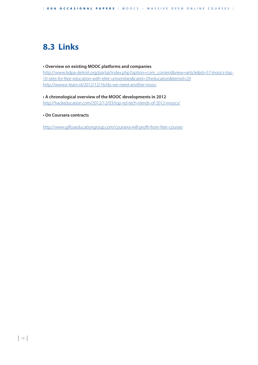## **8.3 Links**

#### **• Overview on existing MOOC platforms and companies**

http://www.bdpa-detroit.org/portal/index.php?option=com\_content&view=article&id=57:moocs-top-10-sites-for-free-education-with-elite-universities&catid=29:education&Itemid=20 http://www.e-learn.nl/2012/12/16/do-we-need-another-mooc

#### **• A chronological overview of the MOOC developments in 2012**

http://hackeducation.com/2012/12/03/top-ed-tech-trends-of-2012-moocs/

#### **to On Coursera contracts**

http://www.gilfuseducationgroup.com/coursera-will-profit-from-free-courses